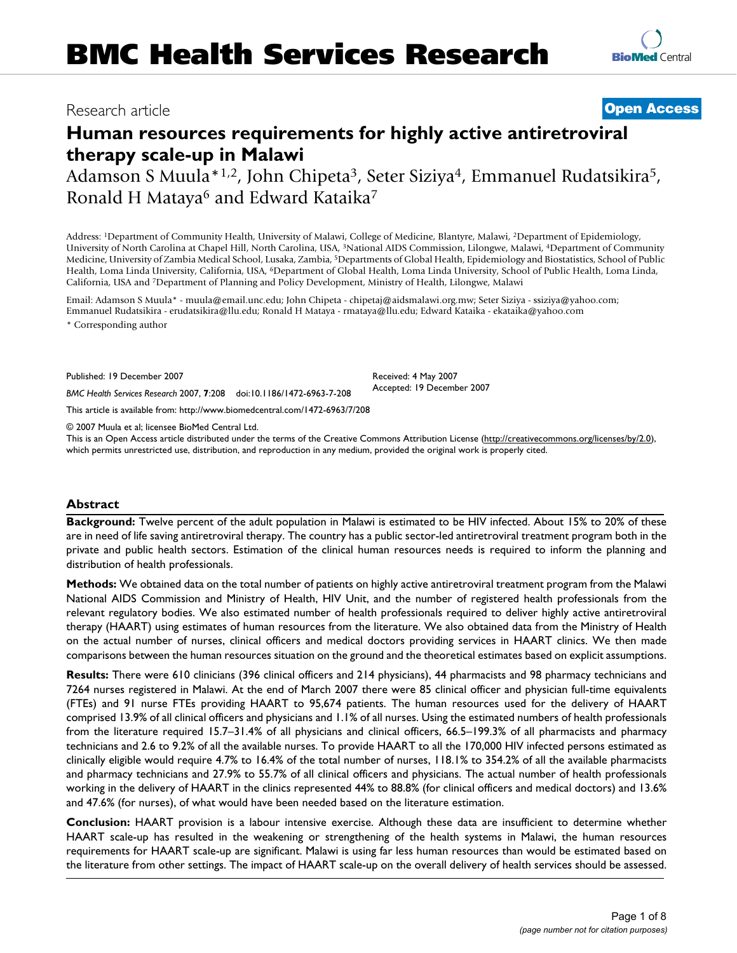# Research article **[Open Access](http://www.biomedcentral.com/info/about/charter/)**

**[BioMed](http://www.biomedcentral.com/)** Central

# **Human resources requirements for highly active antiretroviral therapy scale-up in Malawi**

Adamson S Muula\*<sup>1,2</sup>, John Chipeta<sup>3</sup>, Seter Siziya<sup>4</sup>, Emmanuel Rudatsikira<sup>5</sup>, Ronald H Mataya<sup>6</sup> and Edward Kataika<sup>7</sup>

Address: 1Department of Community Health, University of Malawi, College of Medicine, Blantyre, Malawi, 2Department of Epidemiology, University of North Carolina at Chapel Hill, North Carolina, USA, 3National AIDS Commission, Lilongwe, Malawi, 4Department of Community Medicine, University of Zambia Medical School, Lusaka, Zambia, 5Departments of Global Health, Epidemiology and Biostatistics, School of Public Health, Loma Linda University, California, USA, 6Department of Global Health, Loma Linda University, School of Public Health, Loma Linda, California, USA and 7Department of Planning and Policy Development, Ministry of Health, Lilongwe, Malawi

Email: Adamson S Muula\* - muula@email.unc.edu; John Chipeta - chipetaj@aidsmalawi.org.mw; Seter Siziya - ssiziya@yahoo.com; Emmanuel Rudatsikira - erudatsikira@llu.edu; Ronald H Mataya - rmataya@llu.edu; Edward Kataika - ekataika@yahoo.com

\* Corresponding author

Published: 19 December 2007

*BMC Health Services Research* 2007, **7**:208 doi:10.1186/1472-6963-7-208

[This article is available from: http://www.biomedcentral.com/1472-6963/7/208](http://www.biomedcentral.com/1472-6963/7/208)

© 2007 Muula et al; licensee BioMed Central Ltd.

This is an Open Access article distributed under the terms of the Creative Commons Attribution License [\(http://creativecommons.org/licenses/by/2.0\)](http://creativecommons.org/licenses/by/2.0), which permits unrestricted use, distribution, and reproduction in any medium, provided the original work is properly cited.

Received: 4 May 2007 Accepted: 19 December 2007

## **Abstract**

**Background:** Twelve percent of the adult population in Malawi is estimated to be HIV infected. About 15% to 20% of these are in need of life saving antiretroviral therapy. The country has a public sector-led antiretroviral treatment program both in the private and public health sectors. Estimation of the clinical human resources needs is required to inform the planning and distribution of health professionals.

**Methods:** We obtained data on the total number of patients on highly active antiretroviral treatment program from the Malawi National AIDS Commission and Ministry of Health, HIV Unit, and the number of registered health professionals from the relevant regulatory bodies. We also estimated number of health professionals required to deliver highly active antiretroviral therapy (HAART) using estimates of human resources from the literature. We also obtained data from the Ministry of Health on the actual number of nurses, clinical officers and medical doctors providing services in HAART clinics. We then made comparisons between the human resources situation on the ground and the theoretical estimates based on explicit assumptions.

**Results:** There were 610 clinicians (396 clinical officers and 214 physicians), 44 pharmacists and 98 pharmacy technicians and 7264 nurses registered in Malawi. At the end of March 2007 there were 85 clinical officer and physician full-time equivalents (FTEs) and 91 nurse FTEs providing HAART to 95,674 patients. The human resources used for the delivery of HAART comprised 13.9% of all clinical officers and physicians and 1.1% of all nurses. Using the estimated numbers of health professionals from the literature required 15.7–31.4% of all physicians and clinical officers, 66.5–199.3% of all pharmacists and pharmacy technicians and 2.6 to 9.2% of all the available nurses. To provide HAART to all the 170,000 HIV infected persons estimated as clinically eligible would require 4.7% to 16.4% of the total number of nurses, 118.1% to 354.2% of all the available pharmacists and pharmacy technicians and 27.9% to 55.7% of all clinical officers and physicians. The actual number of health professionals working in the delivery of HAART in the clinics represented 44% to 88.8% (for clinical officers and medical doctors) and 13.6% and 47.6% (for nurses), of what would have been needed based on the literature estimation.

**Conclusion:** HAART provision is a labour intensive exercise. Although these data are insufficient to determine whether HAART scale-up has resulted in the weakening or strengthening of the health systems in Malawi, the human resources requirements for HAART scale-up are significant. Malawi is using far less human resources than would be estimated based on the literature from other settings. The impact of HAART scale-up on the overall delivery of health services should be assessed.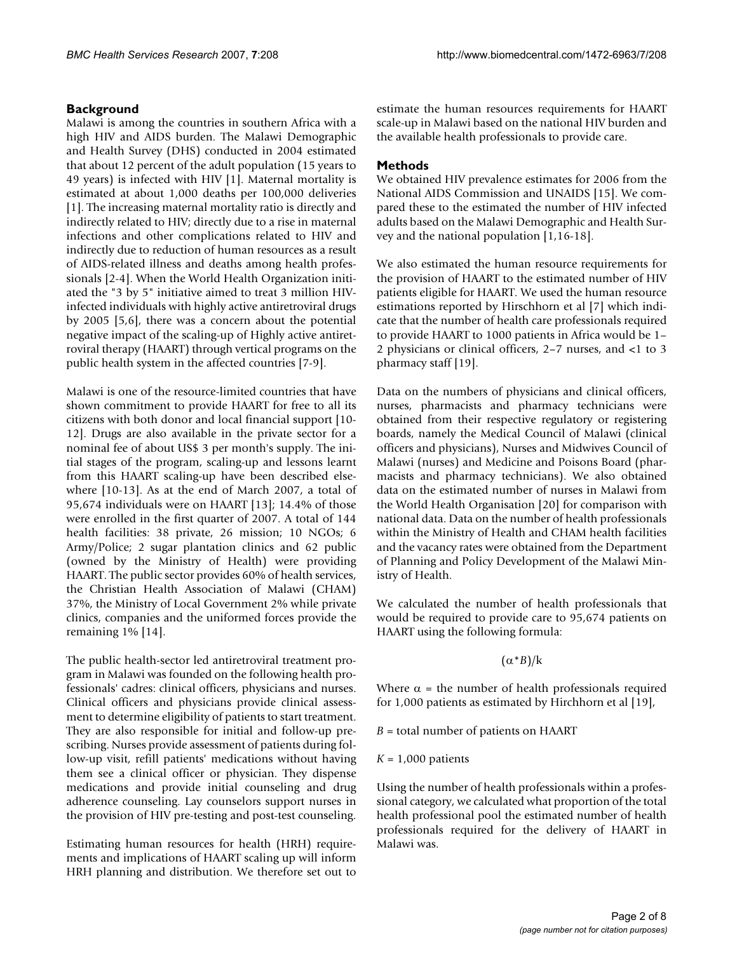# **Background**

Malawi is among the countries in southern Africa with a high HIV and AIDS burden. The Malawi Demographic and Health Survey (DHS) conducted in 2004 estimated that about 12 percent of the adult population (15 years to 49 years) is infected with HIV [1]. Maternal mortality is estimated at about 1,000 deaths per 100,000 deliveries [1]. The increasing maternal mortality ratio is directly and indirectly related to HIV; directly due to a rise in maternal infections and other complications related to HIV and indirectly due to reduction of human resources as a result of AIDS-related illness and deaths among health professionals [2-4]. When the World Health Organization initiated the "3 by 5" initiative aimed to treat 3 million HIVinfected individuals with highly active antiretroviral drugs by 2005 [5,6], there was a concern about the potential negative impact of the scaling-up of Highly active antiretroviral therapy (HAART) through vertical programs on the public health system in the affected countries [7-9].

Malawi is one of the resource-limited countries that have shown commitment to provide HAART for free to all its citizens with both donor and local financial support [10- 12]. Drugs are also available in the private sector for a nominal fee of about US\$ 3 per month's supply. The initial stages of the program, scaling-up and lessons learnt from this HAART scaling-up have been described elsewhere [10-13]. As at the end of March 2007, a total of 95,674 individuals were on HAART [13]; 14.4% of those were enrolled in the first quarter of 2007. A total of 144 health facilities: 38 private, 26 mission; 10 NGOs; 6 Army/Police; 2 sugar plantation clinics and 62 public (owned by the Ministry of Health) were providing HAART. The public sector provides 60% of health services, the Christian Health Association of Malawi (CHAM) 37%, the Ministry of Local Government 2% while private clinics, companies and the uniformed forces provide the remaining 1% [14].

The public health-sector led antiretroviral treatment program in Malawi was founded on the following health professionals' cadres: clinical officers, physicians and nurses. Clinical officers and physicians provide clinical assessment to determine eligibility of patients to start treatment. They are also responsible for initial and follow-up prescribing. Nurses provide assessment of patients during follow-up visit, refill patients' medications without having them see a clinical officer or physician. They dispense medications and provide initial counseling and drug adherence counseling. Lay counselors support nurses in the provision of HIV pre-testing and post-test counseling.

Estimating human resources for health (HRH) requirements and implications of HAART scaling up will inform HRH planning and distribution. We therefore set out to estimate the human resources requirements for HAART scale-up in Malawi based on the national HIV burden and the available health professionals to provide care.

# **Methods**

We obtained HIV prevalence estimates for 2006 from the National AIDS Commission and UNAIDS [15]. We compared these to the estimated the number of HIV infected adults based on the Malawi Demographic and Health Survey and the national population [1,16-18].

We also estimated the human resource requirements for the provision of HAART to the estimated number of HIV patients eligible for HAART. We used the human resource estimations reported by Hirschhorn et al [7] which indicate that the number of health care professionals required to provide HAART to 1000 patients in Africa would be 1– 2 physicians or clinical officers, 2–7 nurses, and <1 to 3 pharmacy staff [19].

Data on the numbers of physicians and clinical officers, nurses, pharmacists and pharmacy technicians were obtained from their respective regulatory or registering boards, namely the Medical Council of Malawi (clinical officers and physicians), Nurses and Midwives Council of Malawi (nurses) and Medicine and Poisons Board (pharmacists and pharmacy technicians). We also obtained data on the estimated number of nurses in Malawi from the World Health Organisation [20] for comparison with national data. Data on the number of health professionals within the Ministry of Health and CHAM health facilities and the vacancy rates were obtained from the Department of Planning and Policy Development of the Malawi Ministry of Health.

We calculated the number of health professionals that would be required to provide care to 95,674 patients on HAART using the following formula:

 $(\alpha * B)/k$ 

Where  $\alpha$  = the number of health professionals required for 1,000 patients as estimated by Hirchhorn et al [19],

*B* = total number of patients on HAART

*K* = 1,000 patients

Using the number of health professionals within a professional category, we calculated what proportion of the total health professional pool the estimated number of health professionals required for the delivery of HAART in Malawi was.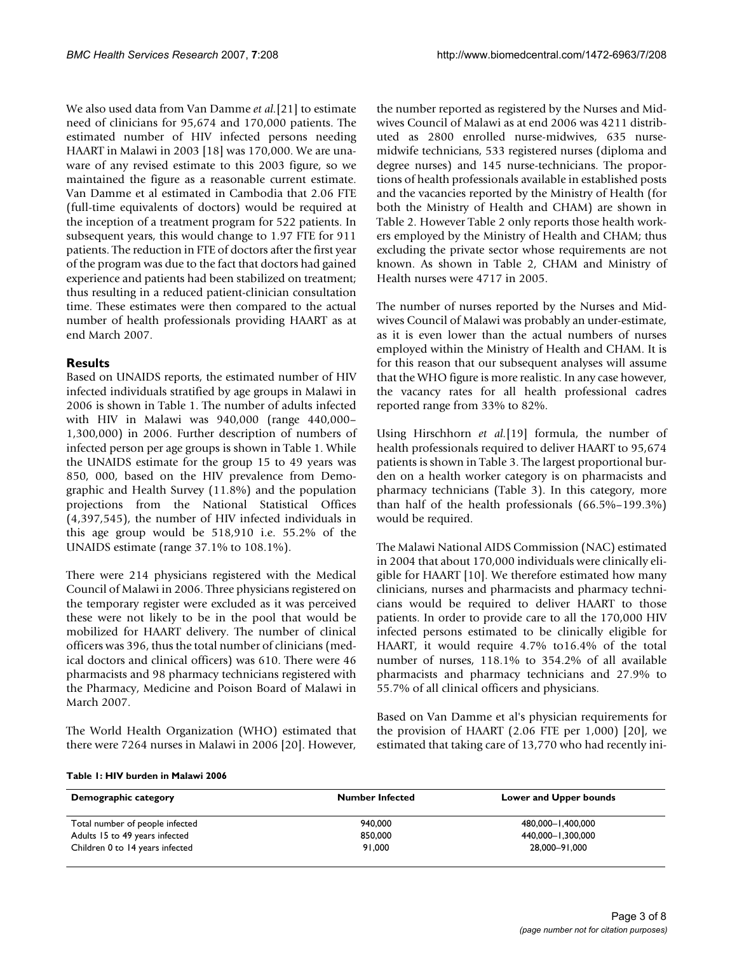We also used data from Van Damme *et al.*[21] to estimate need of clinicians for 95,674 and 170,000 patients. The estimated number of HIV infected persons needing HAART in Malawi in 2003 [18] was 170,000. We are unaware of any revised estimate to this 2003 figure, so we maintained the figure as a reasonable current estimate. Van Damme et al estimated in Cambodia that 2.06 FTE (full-time equivalents of doctors) would be required at the inception of a treatment program for 522 patients. In subsequent years, this would change to 1.97 FTE for 911 patients. The reduction in FTE of doctors after the first year of the program was due to the fact that doctors had gained experience and patients had been stabilized on treatment; thus resulting in a reduced patient-clinician consultation time. These estimates were then compared to the actual number of health professionals providing HAART as at end March 2007.

# **Results**

Based on UNAIDS reports, the estimated number of HIV infected individuals stratified by age groups in Malawi in 2006 is shown in Table 1. The number of adults infected with HIV in Malawi was 940,000 (range 440,000– 1,300,000) in 2006. Further description of numbers of infected person per age groups is shown in Table 1. While the UNAIDS estimate for the group 15 to 49 years was 850, 000, based on the HIV prevalence from Demographic and Health Survey (11.8%) and the population projections from the National Statistical Offices (4,397,545), the number of HIV infected individuals in this age group would be 518,910 i.e. 55.2% of the UNAIDS estimate (range 37.1% to 108.1%).

There were 214 physicians registered with the Medical Council of Malawi in 2006. Three physicians registered on the temporary register were excluded as it was perceived these were not likely to be in the pool that would be mobilized for HAART delivery. The number of clinical officers was 396, thus the total number of clinicians (medical doctors and clinical officers) was 610. There were 46 pharmacists and 98 pharmacy technicians registered with the Pharmacy, Medicine and Poison Board of Malawi in March 2007.

The World Health Organization (WHO) estimated that there were 7264 nurses in Malawi in 2006 [20]. However,

the number reported as registered by the Nurses and Midwives Council of Malawi as at end 2006 was 4211 distributed as 2800 enrolled nurse-midwives, 635 nursemidwife technicians, 533 registered nurses (diploma and degree nurses) and 145 nurse-technicians. The proportions of health professionals available in established posts and the vacancies reported by the Ministry of Health (for both the Ministry of Health and CHAM) are shown in Table 2. However Table 2 only reports those health workers employed by the Ministry of Health and CHAM; thus excluding the private sector whose requirements are not known. As shown in Table 2, CHAM and Ministry of Health nurses were 4717 in 2005.

The number of nurses reported by the Nurses and Midwives Council of Malawi was probably an under-estimate, as it is even lower than the actual numbers of nurses employed within the Ministry of Health and CHAM. It is for this reason that our subsequent analyses will assume that the WHO figure is more realistic. In any case however, the vacancy rates for all health professional cadres reported range from 33% to 82%.

Using Hirschhorn *et al.*[19] formula, the number of health professionals required to deliver HAART to 95,674 patients is shown in Table 3. The largest proportional burden on a health worker category is on pharmacists and pharmacy technicians (Table 3). In this category, more than half of the health professionals (66.5%–199.3%) would be required.

The Malawi National AIDS Commission (NAC) estimated in 2004 that about 170,000 individuals were clinically eligible for HAART [10]. We therefore estimated how many clinicians, nurses and pharmacists and pharmacy technicians would be required to deliver HAART to those patients. In order to provide care to all the 170,000 HIV infected persons estimated to be clinically eligible for HAART, it would require 4.7% to16.4% of the total number of nurses, 118.1% to 354.2% of all available pharmacists and pharmacy technicians and 27.9% to 55.7% of all clinical officers and physicians.

Based on Van Damme et al's physician requirements for the provision of HAART (2.06 FTE per 1,000) [20], we estimated that taking care of 13,770 who had recently ini-

| Demographic category            | <b>Number Infected</b> | Lower and Upper bounds |  |
|---------------------------------|------------------------|------------------------|--|
| Total number of people infected | 940,000                | 480,000-1,400,000      |  |
| Adults 15 to 49 years infected  | 850,000                | 440.000-1.300.000      |  |
| Children 0 to 14 years infected | 91,000                 | 28,000-91,000          |  |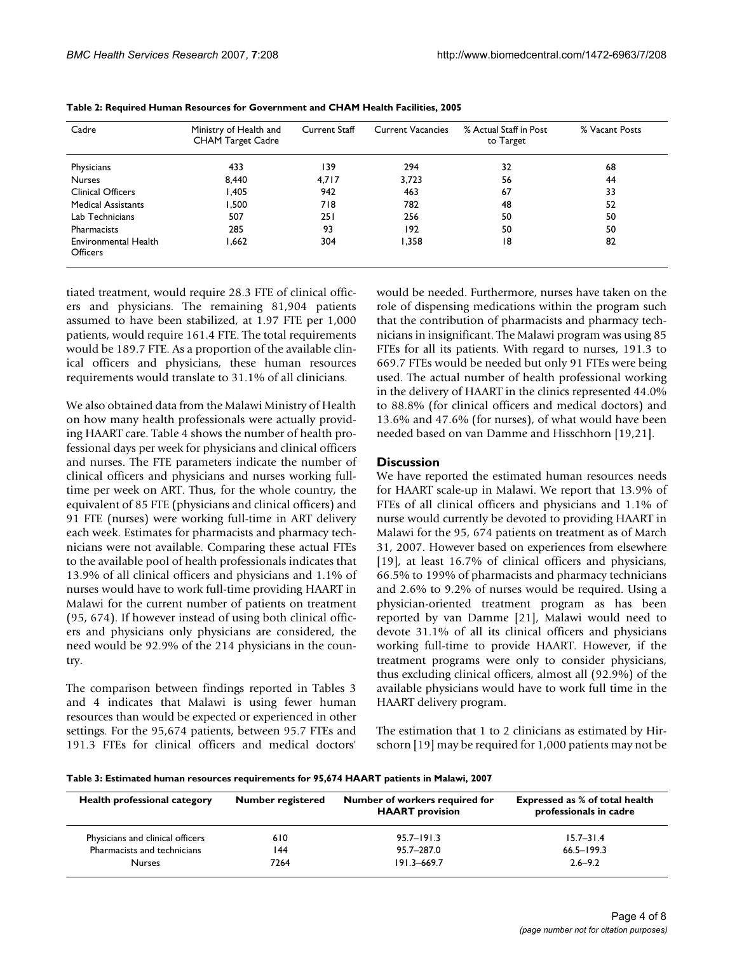| Cadre                            | Ministry of Health and<br><b>CHAM Target Cadre</b> | <b>Current Staff</b> | <b>Current Vacancies</b> | % Actual Staff in Post<br>to Target | % Vacant Posts |
|----------------------------------|----------------------------------------------------|----------------------|--------------------------|-------------------------------------|----------------|
| Physicians                       | 433                                                | 139                  | 294                      | 32                                  | 68             |
| <b>Nurses</b>                    | 8.440                                              | 4.717                | 3.723                    | 56                                  | 44             |
| <b>Clinical Officers</b>         | I,405                                              | 942                  | 463                      | 67                                  | 33             |
| <b>Medical Assistants</b>        | 500, ا                                             | 718                  | 782                      | 48                                  | 52             |
| Lab Technicians                  | 507                                                | 251                  | 256                      | 50                                  | 50             |
| Pharmacists                      | 285                                                | 93                   | 192                      | 50                                  | 50             |
| Environmental Health<br>Officers | 1,662                                              | 304                  | 1,358                    | 18                                  | 82             |

| Table 2: Required Human Resources for Government and CHAM Health Facilities, 2005 |  |  |  |  |  |
|-----------------------------------------------------------------------------------|--|--|--|--|--|
|-----------------------------------------------------------------------------------|--|--|--|--|--|

tiated treatment, would require 28.3 FTE of clinical officers and physicians. The remaining 81,904 patients assumed to have been stabilized, at 1.97 FTE per 1,000 patients, would require 161.4 FTE. The total requirements would be 189.7 FTE. As a proportion of the available clinical officers and physicians, these human resources requirements would translate to 31.1% of all clinicians.

We also obtained data from the Malawi Ministry of Health on how many health professionals were actually providing HAART care. Table 4 shows the number of health professional days per week for physicians and clinical officers and nurses. The FTE parameters indicate the number of clinical officers and physicians and nurses working fulltime per week on ART. Thus, for the whole country, the equivalent of 85 FTE (physicians and clinical officers) and 91 FTE (nurses) were working full-time in ART delivery each week. Estimates for pharmacists and pharmacy technicians were not available. Comparing these actual FTEs to the available pool of health professionals indicates that 13.9% of all clinical officers and physicians and 1.1% of nurses would have to work full-time providing HAART in Malawi for the current number of patients on treatment (95, 674). If however instead of using both clinical officers and physicians only physicians are considered, the need would be 92.9% of the 214 physicians in the country.

The comparison between findings reported in Tables 3 and 4 indicates that Malawi is using fewer human resources than would be expected or experienced in other settings. For the 95,674 patients, between 95.7 FTEs and 191.3 FTEs for clinical officers and medical doctors'

would be needed. Furthermore, nurses have taken on the role of dispensing medications within the program such that the contribution of pharmacists and pharmacy technicians in insignificant. The Malawi program was using 85 FTEs for all its patients. With regard to nurses, 191.3 to 669.7 FTEs would be needed but only 91 FTEs were being used. The actual number of health professional working in the delivery of HAART in the clinics represented 44.0% to 88.8% (for clinical officers and medical doctors) and 13.6% and 47.6% (for nurses), of what would have been needed based on van Damme and Hisschhorn [19,21].

## **Discussion**

We have reported the estimated human resources needs for HAART scale-up in Malawi. We report that 13.9% of FTEs of all clinical officers and physicians and 1.1% of nurse would currently be devoted to providing HAART in Malawi for the 95, 674 patients on treatment as of March 31, 2007. However based on experiences from elsewhere [19], at least 16.7% of clinical officers and physicians, 66.5% to 199% of pharmacists and pharmacy technicians and 2.6% to 9.2% of nurses would be required. Using a physician-oriented treatment program as has been reported by van Damme [21], Malawi would need to devote 31.1% of all its clinical officers and physicians working full-time to provide HAART. However, if the treatment programs were only to consider physicians, thus excluding clinical officers, almost all (92.9%) of the available physicians would have to work full time in the HAART delivery program.

The estimation that 1 to 2 clinicians as estimated by Hirschorn [19] may be required for 1,000 patients may not be

#### **Table 3: Estimated human resources requirements for 95,674 HAART patients in Malawi, 2007**

| Health professional category     | <b>Number registered</b> | Number of workers required for<br><b>HAART</b> provision | <b>Expressed as % of total health</b><br>professionals in cadre |
|----------------------------------|--------------------------|----------------------------------------------------------|-----------------------------------------------------------------|
| Physicians and clinical officers | 610                      | $95.7 - 191.3$                                           | $15.7 - 31.4$                                                   |
| Pharmacists and technicians      | 144                      | 95.7-287.0                                               | $66.5 - 199.3$                                                  |
| <b>Nurses</b>                    | 7264                     | $191.3 - 669.7$                                          | $2.6 - 9.2$                                                     |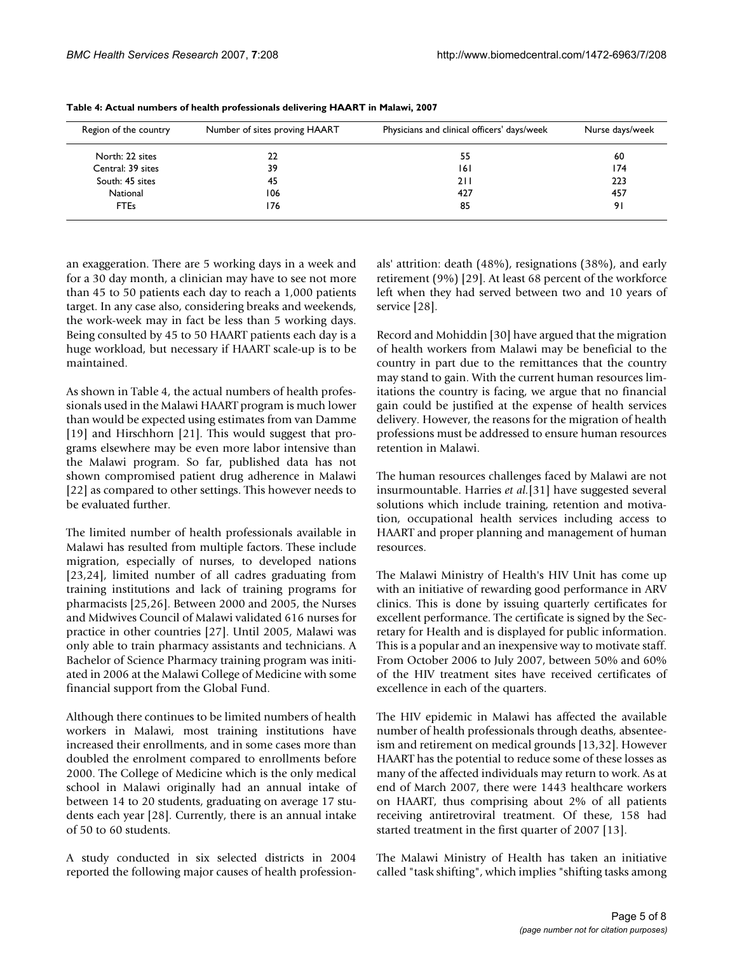| Region of the country | Number of sites proving HAART | Physicians and clinical officers' days/week | Nurse days/week |
|-----------------------|-------------------------------|---------------------------------------------|-----------------|
| North: 22 sites       | 22                            | 55                                          | 60              |
| Central: 39 sites     | 39                            | 161                                         | 174             |
| South: 45 sites       | 45                            | 211                                         | 223             |
| National              | 106                           | 427                                         | 457             |
| <b>FTEs</b>           | 176                           | 85                                          | 91              |

**Table 4: Actual numbers of health professionals delivering HAART in Malawi, 2007**

an exaggeration. There are 5 working days in a week and for a 30 day month, a clinician may have to see not more than 45 to 50 patients each day to reach a 1,000 patients target. In any case also, considering breaks and weekends, the work-week may in fact be less than 5 working days. Being consulted by 45 to 50 HAART patients each day is a huge workload, but necessary if HAART scale-up is to be maintained.

As shown in Table 4, the actual numbers of health professionals used in the Malawi HAART program is much lower than would be expected using estimates from van Damme [19] and Hirschhorn [21]. This would suggest that programs elsewhere may be even more labor intensive than the Malawi program. So far, published data has not shown compromised patient drug adherence in Malawi [22] as compared to other settings. This however needs to be evaluated further.

The limited number of health professionals available in Malawi has resulted from multiple factors. These include migration, especially of nurses, to developed nations [23,24], limited number of all cadres graduating from training institutions and lack of training programs for pharmacists [25,26]. Between 2000 and 2005, the Nurses and Midwives Council of Malawi validated 616 nurses for practice in other countries [27]. Until 2005, Malawi was only able to train pharmacy assistants and technicians. A Bachelor of Science Pharmacy training program was initiated in 2006 at the Malawi College of Medicine with some financial support from the Global Fund.

Although there continues to be limited numbers of health workers in Malawi, most training institutions have increased their enrollments, and in some cases more than doubled the enrolment compared to enrollments before 2000. The College of Medicine which is the only medical school in Malawi originally had an annual intake of between 14 to 20 students, graduating on average 17 students each year [28]. Currently, there is an annual intake of 50 to 60 students.

A study conducted in six selected districts in 2004 reported the following major causes of health professionals' attrition: death (48%), resignations (38%), and early retirement (9%) [29]. At least 68 percent of the workforce left when they had served between two and 10 years of service [28].

Record and Mohiddin [30] have argued that the migration of health workers from Malawi may be beneficial to the country in part due to the remittances that the country may stand to gain. With the current human resources limitations the country is facing, we argue that no financial gain could be justified at the expense of health services delivery. However, the reasons for the migration of health professions must be addressed to ensure human resources retention in Malawi.

The human resources challenges faced by Malawi are not insurmountable. Harries *et al.*[31] have suggested several solutions which include training, retention and motivation, occupational health services including access to HAART and proper planning and management of human resources.

The Malawi Ministry of Health's HIV Unit has come up with an initiative of rewarding good performance in ARV clinics. This is done by issuing quarterly certificates for excellent performance. The certificate is signed by the Secretary for Health and is displayed for public information. This is a popular and an inexpensive way to motivate staff. From October 2006 to July 2007, between 50% and 60% of the HIV treatment sites have received certificates of excellence in each of the quarters.

The HIV epidemic in Malawi has affected the available number of health professionals through deaths, absenteeism and retirement on medical grounds [13,32]. However HAART has the potential to reduce some of these losses as many of the affected individuals may return to work. As at end of March 2007, there were 1443 healthcare workers on HAART, thus comprising about 2% of all patients receiving antiretroviral treatment. Of these, 158 had started treatment in the first quarter of 2007 [13].

The Malawi Ministry of Health has taken an initiative called "task shifting", which implies "shifting tasks among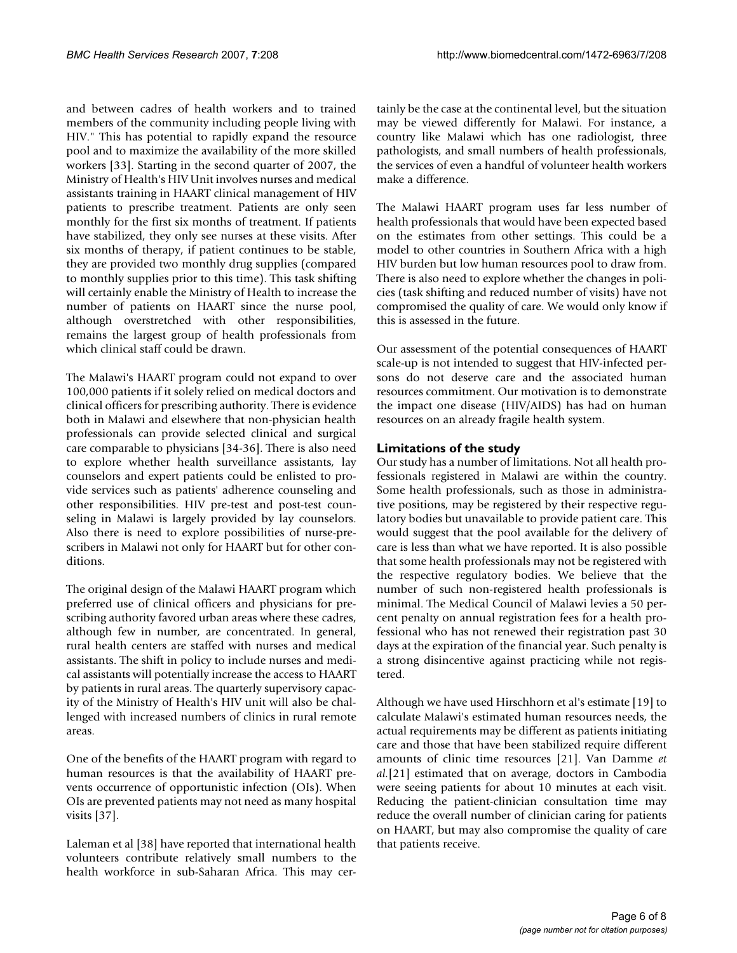and between cadres of health workers and to trained members of the community including people living with HIV." This has potential to rapidly expand the resource pool and to maximize the availability of the more skilled workers [33]. Starting in the second quarter of 2007, the Ministry of Health's HIV Unit involves nurses and medical assistants training in HAART clinical management of HIV patients to prescribe treatment. Patients are only seen monthly for the first six months of treatment. If patients have stabilized, they only see nurses at these visits. After six months of therapy, if patient continues to be stable, they are provided two monthly drug supplies (compared to monthly supplies prior to this time). This task shifting will certainly enable the Ministry of Health to increase the number of patients on HAART since the nurse pool, although overstretched with other responsibilities, remains the largest group of health professionals from which clinical staff could be drawn.

The Malawi's HAART program could not expand to over 100,000 patients if it solely relied on medical doctors and clinical officers for prescribing authority. There is evidence both in Malawi and elsewhere that non-physician health professionals can provide selected clinical and surgical care comparable to physicians [34-36]. There is also need to explore whether health surveillance assistants, lay counselors and expert patients could be enlisted to provide services such as patients' adherence counseling and other responsibilities. HIV pre-test and post-test counseling in Malawi is largely provided by lay counselors. Also there is need to explore possibilities of nurse-prescribers in Malawi not only for HAART but for other conditions.

The original design of the Malawi HAART program which preferred use of clinical officers and physicians for prescribing authority favored urban areas where these cadres, although few in number, are concentrated. In general, rural health centers are staffed with nurses and medical assistants. The shift in policy to include nurses and medical assistants will potentially increase the access to HAART by patients in rural areas. The quarterly supervisory capacity of the Ministry of Health's HIV unit will also be challenged with increased numbers of clinics in rural remote areas.

One of the benefits of the HAART program with regard to human resources is that the availability of HAART prevents occurrence of opportunistic infection (OIs). When OIs are prevented patients may not need as many hospital visits [37].

Laleman et al [38] have reported that international health volunteers contribute relatively small numbers to the health workforce in sub-Saharan Africa. This may certainly be the case at the continental level, but the situation may be viewed differently for Malawi. For instance, a country like Malawi which has one radiologist, three pathologists, and small numbers of health professionals, the services of even a handful of volunteer health workers make a difference.

The Malawi HAART program uses far less number of health professionals that would have been expected based on the estimates from other settings. This could be a model to other countries in Southern Africa with a high HIV burden but low human resources pool to draw from. There is also need to explore whether the changes in policies (task shifting and reduced number of visits) have not compromised the quality of care. We would only know if this is assessed in the future.

Our assessment of the potential consequences of HAART scale-up is not intended to suggest that HIV-infected persons do not deserve care and the associated human resources commitment. Our motivation is to demonstrate the impact one disease (HIV/AIDS) has had on human resources on an already fragile health system.

# **Limitations of the study**

Our study has a number of limitations. Not all health professionals registered in Malawi are within the country. Some health professionals, such as those in administrative positions, may be registered by their respective regulatory bodies but unavailable to provide patient care. This would suggest that the pool available for the delivery of care is less than what we have reported. It is also possible that some health professionals may not be registered with the respective regulatory bodies. We believe that the number of such non-registered health professionals is minimal. The Medical Council of Malawi levies a 50 percent penalty on annual registration fees for a health professional who has not renewed their registration past 30 days at the expiration of the financial year. Such penalty is a strong disincentive against practicing while not registered.

Although we have used Hirschhorn et al's estimate [19] to calculate Malawi's estimated human resources needs, the actual requirements may be different as patients initiating care and those that have been stabilized require different amounts of clinic time resources [21]. Van Damme *et al.*[21] estimated that on average, doctors in Cambodia were seeing patients for about 10 minutes at each visit. Reducing the patient-clinician consultation time may reduce the overall number of clinician caring for patients on HAART, but may also compromise the quality of care that patients receive.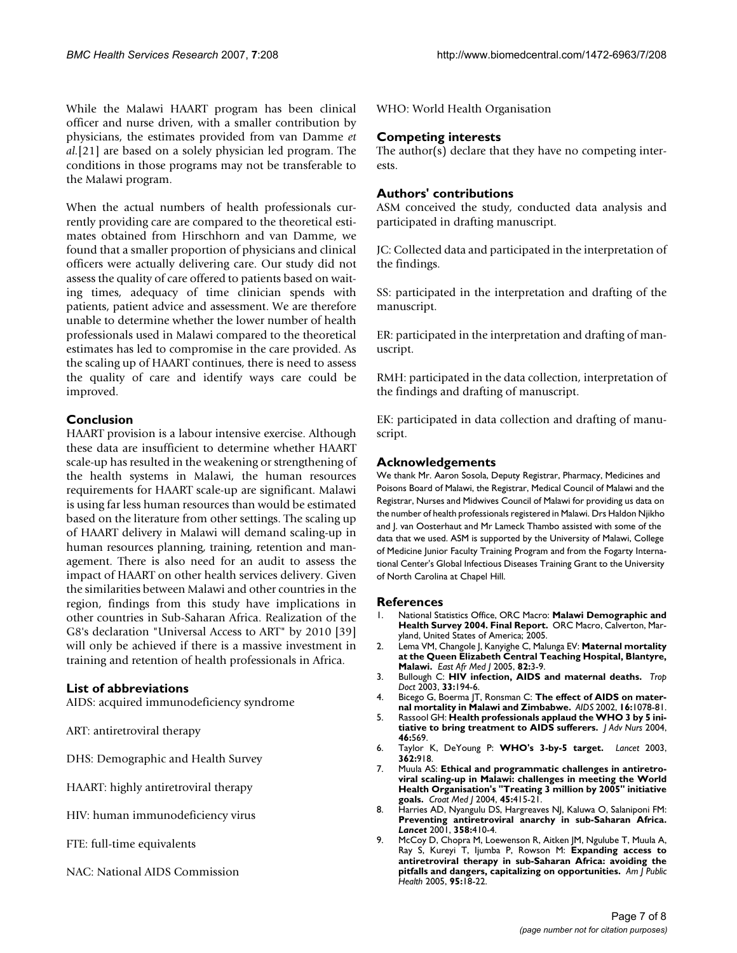While the Malawi HAART program has been clinical officer and nurse driven, with a smaller contribution by physicians, the estimates provided from van Damme *et al.*[21] are based on a solely physician led program. The conditions in those programs may not be transferable to the Malawi program.

When the actual numbers of health professionals currently providing care are compared to the theoretical estimates obtained from Hirschhorn and van Damme, we found that a smaller proportion of physicians and clinical officers were actually delivering care. Our study did not assess the quality of care offered to patients based on waiting times, adequacy of time clinician spends with patients, patient advice and assessment. We are therefore unable to determine whether the lower number of health professionals used in Malawi compared to the theoretical estimates has led to compromise in the care provided. As the scaling up of HAART continues, there is need to assess the quality of care and identify ways care could be improved.

# **Conclusion**

HAART provision is a labour intensive exercise. Although these data are insufficient to determine whether HAART scale-up has resulted in the weakening or strengthening of the health systems in Malawi, the human resources requirements for HAART scale-up are significant. Malawi is using far less human resources than would be estimated based on the literature from other settings. The scaling up of HAART delivery in Malawi will demand scaling-up in human resources planning, training, retention and management. There is also need for an audit to assess the impact of HAART on other health services delivery. Given the similarities between Malawi and other countries in the region, findings from this study have implications in other countries in Sub-Saharan Africa. Realization of the G8's declaration "Universal Access to ART" by 2010 [39] will only be achieved if there is a massive investment in training and retention of health professionals in Africa.

# **List of abbreviations**

AIDS: acquired immunodeficiency syndrome

ART: antiretroviral therapy

DHS: Demographic and Health Survey

- HAART: highly antiretroviral therapy
- HIV: human immunodeficiency virus
- FTE: full-time equivalents
- NAC: National AIDS Commission

WHO: World Health Organisation

## **Competing interests**

The author(s) declare that they have no competing interests.

## **Authors' contributions**

ASM conceived the study, conducted data analysis and participated in drafting manuscript.

JC: Collected data and participated in the interpretation of the findings.

SS: participated in the interpretation and drafting of the manuscript.

ER: participated in the interpretation and drafting of manuscript.

RMH: participated in the data collection, interpretation of the findings and drafting of manuscript.

EK: participated in data collection and drafting of manuscript.

#### **Acknowledgements**

We thank Mr. Aaron Sosola, Deputy Registrar, Pharmacy, Medicines and Poisons Board of Malawi, the Registrar, Medical Council of Malawi and the Registrar, Nurses and Midwives Council of Malawi for providing us data on the number of health professionals registered in Malawi. Drs Haldon Njikho and J. van Oosterhaut and Mr Lameck Thambo assisted with some of the data that we used. ASM is supported by the University of Malawi, College of Medicine Junior Faculty Training Program and from the Fogarty International Center's Global Infectious Diseases Training Grant to the University of North Carolina at Chapel Hill.

#### **References**

- 1. National Statistics Office, ORC Macro: **Malawi Demographic and Health Survey 2004. Final Report.** ORC Macro, Calverton, Maryland, United States of America; 2005.
- 2. Lema VM, Changole J, Kanyighe C, Malunga EV: **[Maternal mortality](http://www.ncbi.nlm.nih.gov/entrez/query.fcgi?cmd=Retrieve&db=PubMed&dopt=Abstract&list_uids=16122104) [at the Queen Elizabeth Central Teaching Hospital, Blantyre,](http://www.ncbi.nlm.nih.gov/entrez/query.fcgi?cmd=Retrieve&db=PubMed&dopt=Abstract&list_uids=16122104) [Malawi.](http://www.ncbi.nlm.nih.gov/entrez/query.fcgi?cmd=Retrieve&db=PubMed&dopt=Abstract&list_uids=16122104)** *East Afr Med J* 2005, **82:**3-9.
- 3. Bullough C: **[HIV infection, AIDS and maternal deaths.](http://www.ncbi.nlm.nih.gov/entrez/query.fcgi?cmd=Retrieve&db=PubMed&dopt=Abstract&list_uids=14620418)** *Trop Doct* 2003, **33:**194-6.
- 4. Bicego G, Boerma JT, Ronsman C: **[The effect of AIDS on mater](http://www.ncbi.nlm.nih.gov/entrez/query.fcgi?cmd=Retrieve&db=PubMed&dopt=Abstract&list_uids=11953479)[nal mortality in Malawi and Zimbabwe.](http://www.ncbi.nlm.nih.gov/entrez/query.fcgi?cmd=Retrieve&db=PubMed&dopt=Abstract&list_uids=11953479)** *AIDS* 2002, **16:**1078-81.
- 5. Rassool GH: **[Health professionals applaud the WHO 3 by 5 ini](http://www.ncbi.nlm.nih.gov/entrez/query.fcgi?cmd=Retrieve&db=PubMed&dopt=Abstract&list_uids=15171243)[tiative to bring treatment to AIDS sufferers.](http://www.ncbi.nlm.nih.gov/entrez/query.fcgi?cmd=Retrieve&db=PubMed&dopt=Abstract&list_uids=15171243)** *J Adv Nurs* 2004, **46:**569.
- 6. Taylor K, DeYoung P: **[WHO's 3-by-5 target.](http://www.ncbi.nlm.nih.gov/entrez/query.fcgi?cmd=Retrieve&db=PubMed&dopt=Abstract&list_uids=13678988)** *Lancet* 2003, **362:**918.
- 7. Muula AS: **[Ethical and programmatic challenges in antiretro](http://www.ncbi.nlm.nih.gov/entrez/query.fcgi?cmd=Retrieve&db=PubMed&dopt=Abstract&list_uids=15311413)[viral scaling-up in Malawi: challenges in meeting the World](http://www.ncbi.nlm.nih.gov/entrez/query.fcgi?cmd=Retrieve&db=PubMed&dopt=Abstract&list_uids=15311413) Health Organisation's "Treating 3 million by 2005" initiative [goals.](http://www.ncbi.nlm.nih.gov/entrez/query.fcgi?cmd=Retrieve&db=PubMed&dopt=Abstract&list_uids=15311413)** *Croat Med J* 2004, **45:**415-21.
- 8. Harries AD, Nyangulu DS, Hargreaves NJ, Kaluwa O, Salaniponi FM: **[Preventing antiretroviral anarchy in sub-Saharan Africa.](http://www.ncbi.nlm.nih.gov/entrez/query.fcgi?cmd=Retrieve&db=PubMed&dopt=Abstract&list_uids=11502341)** *Lancet* 2001, **358:**410-4.
- 9. McCoy D, Chopra M, Loewenson R, Aitken JM, Ngulube T, Muula A, Ray S, Kureyi T, Ijumba P, Rowson M: **[Expanding access to](http://www.ncbi.nlm.nih.gov/entrez/query.fcgi?cmd=Retrieve&db=PubMed&dopt=Abstract&list_uids=15623853) [antiretroviral therapy in sub-Saharan Africa: avoiding the](http://www.ncbi.nlm.nih.gov/entrez/query.fcgi?cmd=Retrieve&db=PubMed&dopt=Abstract&list_uids=15623853) [pitfalls and dangers, capitalizing on opportunities.](http://www.ncbi.nlm.nih.gov/entrez/query.fcgi?cmd=Retrieve&db=PubMed&dopt=Abstract&list_uids=15623853)** *Am J Public Health* 2005, **95:**18-22.